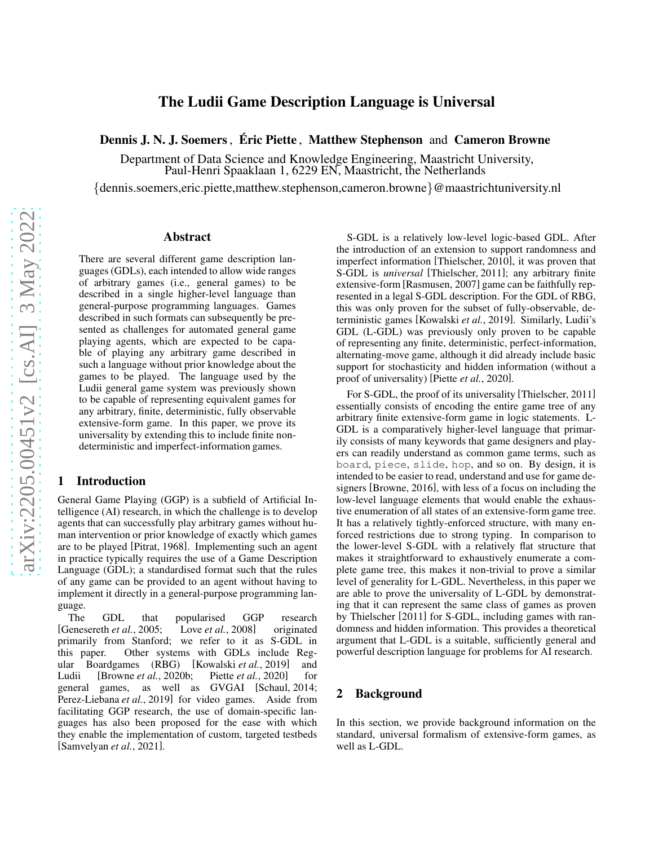# The Ludii Game Description Language is Universal

Dennis J. N. J. Soemers, Éric Piette, Matthew Stephenson and Cameron Browne

Department of Data Science and Knowledge Engineering, Maastricht University, Paul-Henri Spaaklaan 1, 6229 EN, Maastricht, the Netherlands

{dennis.soemers,eric.piette,matthew.stephenson,cameron.browne}@maastrichtuniversity.nl

#### Abstract

There are several different game description languages (GDLs), each intended to allow wide ranges of arbitrary games (i.e., general games) to be described in a single higher-level language than general-purpose programming languages. Games described in such formats can subsequently be presented as challenges for automated general game playing agents, which are expected to be capable of playing any arbitrary game described in such a language without prior knowledge about the games to be played. The language used by the Ludii general game system was previously shown to be capable of representing equivalent games for any arbitrary, finite, deterministic, fully observable extensive-form game. In this paper, we prove its universality by extending this to include finite nondeterministic and imperfect-information games.

## 1 Introduction

General Game Playing (GGP) is a subfield of Artificial Intelligence (AI) research, in which the challenge is to develop agents that can successfully play arbitrary games without human intervention or prior knowledge of exactly which games are to be played [\[Pitrat, 1968\]](#page-6-0). Implementing such an agent in practice typically requires the use of a Game Description Language (GDL); a standardised format such that the rules of any game can be provided to an agent without having to implement it directly in a general-purpose programming language.

The GDL that popularised GGP research [\[Genesereth](#page-6-1) *et al.*, 2005; Love *et al.*[, 2008\]](#page-6-2) originated primarily from Stanford; we refer to it as S-GDL in this paper. Other systems with GDLs include Regular Boardgames (RBG) [\[Kowalski](#page-6-3) *et al.*, 2019] and Ludii [\[Browne](#page-6-4) *et al.*, 2020b; Piette *et al.*[, 2020\]](#page-6-5) for general games, as well as GVGAI [\[Schaul, 2014;](#page-6-6) [Perez-Liebana](#page-6-7) et al., 2019] for video games. Aside from facilitating GGP research, the use of domain-specific languages has also been proposed for the ease with which they enable the implementation of custom, targeted testbeds [\[Samvelyan](#page-6-8) *et al.*, 2021].

S-GDL is a relatively low-level logic-based GDL. After the introduction of an extension to support randomness and imperfect information [\[Thielscher, 2010\]](#page-6-9), it was proven that S-GDL is *universal* [\[Thielscher, 2011\]](#page-6-10); any arbitrary finite extensive-form [\[Rasmusen, 2007\]](#page-6-11) game can be faithfully represented in a legal S-GDL description. For the GDL of RBG, this was only proven for the subset of fully-observable, deterministic games [\[Kowalski](#page-6-3) *et al.*, 2019]. Similarly, Ludii's GDL (L-GDL) was previously only proven to be capable of representing any finite, deterministic, perfect-information, alternating-move game, although it did already include basic support for stochasticity and hidden information (without a proof of universality) [Piette *et al.*[, 2020\]](#page-6-5).

For S-GDL, the proof of its universality [\[Thielscher, 2011\]](#page-6-10) essentially consists of encoding the entire game tree of any arbitrary finite extensive-form game in logic statements. L-GDL is a comparatively higher-level language that primarily consists of many keywords that game designers and players can readily understand as common game terms, such as board, piece, slide, hop, and so on. By design, it is intended to be easier to read, understand and use for game designers [\[Browne, 2016\]](#page-6-12), with less of a focus on including the low-level language elements that would enable the exhaustive enumeration of all states of an extensive-form game tree. It has a relatively tightly-enforced structure, with many enforced restrictions due to strong typing. In comparison to the lower-level S-GDL with a relatively flat structure that makes it straightforward to exhaustively enumerate a complete game tree, this makes it non-trivial to prove a similar level of generality for L-GDL. Nevertheless, in this paper we are able to prove the universality of L-GDL by demonstrating that it can represent the same class of games as proven by Thielscher [\[2011\]](#page-6-10) for S-GDL, including games with randomness and hidden information. This provides a theoretical argument that L-GDL is a suitable, sufficiently general and powerful description language for problems for AI research.

### 2 Background

In this section, we provide background information on the standard, universal formalism of extensive-form games, as well as L-GDL.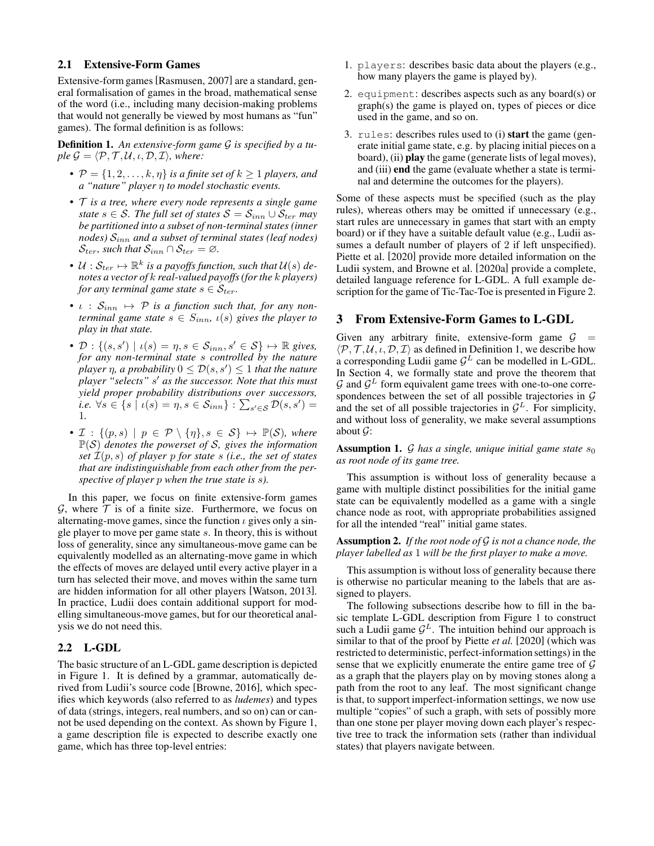#### 2.1 Extensive-Form Games

Extensive-form games [\[Rasmusen, 2007\]](#page-6-11) are a standard, general formalisation of games in the broad, mathematical sense of the word (i.e., including many decision-making problems that would not generally be viewed by most humans as "fun" games). The formal definition is as follows:

<span id="page-1-0"></span>Definition 1. *An extensive-form game* G *is specified by a tuple*  $\mathcal{G} = \langle \mathcal{P}, \mathcal{T}, \mathcal{U}, \iota, \mathcal{D}, \mathcal{I} \rangle$ *, where:* 

- $P = \{1, 2, \ldots, k, \eta\}$  *is a finite set of*  $k \geq 1$  *players, and a "nature" player* η *to model stochastic events.*
- T *is a tree, where every node represents a single game state*  $s \in S$ *. The full set of states*  $S = S_{inn} \cup S_{ter}$  *may be partitioned into a subset of non-terminal states (inner nodes)* Sinn *and a subset of terminal states (leaf nodes)*  $\mathcal{S}_{ter}$ *, such that*  $\mathcal{S}_{inn} \cap \mathcal{S}_{ter} = \emptyset$ *.*
- $\mathcal{U}: \mathcal{S}_{ter} \mapsto \mathbb{R}^k$  is a payoffs function, such that  $\mathcal{U}(s)$  de*notes a vector of* k *real-valued payoffs (for the* k *players) for any terminal game state*  $s \in S_{ter}$ *.*
- $\iota$  :  $S_{inn} \mapsto \mathcal{P}$  *is a function such that, for any nonterminal game state*  $s \in S_{inn}$ ,  $\iota(s)$  *gives the player to play in that state.*
- $\mathcal{D}: \{(s, s') \mid \iota(s) = \eta, s \in \mathcal{S}_{inn}, s' \in \mathcal{S}\} \mapsto \mathbb{R}$  gives, *for any non-terminal state* s *controlled by the nature*  $p$ layer  $\eta$ , a probability  $0 \leq \mathcal{D}(s,s') \leq 1$  that the nature *player "selects"* s ′ *as the successor. Note that this must yield proper probability distributions over successors, i.e.*  $\forall s \in \{s \mid \iota(s) = \eta, s \in \mathcal{S}_{inn}\} : \sum_{s' \in \mathcal{S}} \mathcal{D}(s, s') =$ 1*.*
- $\mathcal{I}: \{(p, s) \mid p \in \mathcal{P} \setminus \{\eta\}, s \in \mathcal{S}\} \mapsto \mathbb{P}(\mathcal{S})$ *, where* P(S) *denotes the powerset of* S*, gives the information set* I(p, s) *of player* p *for state* s *(i.e., the set of states that are indistinguishable from each other from the perspective of player* p *when the true state is* s*).*

In this paper, we focus on finite extensive-form games  $G$ , where  $T$  is of a finite size. Furthermore, we focus on alternating-move games, since the function  $\iota$  gives only a single player to move per game state s. In theory, this is without loss of generality, since any simultaneous-move game can be equivalently modelled as an alternating-move game in which the effects of moves are delayed until every active player in a turn has selected their move, and moves within the same turn are hidden information for all other players [\[Watson, 2013\]](#page-6-13). In practice, Ludii does contain additional support for modelling simultaneous-move games, but for our theoretical analysis we do not need this.

#### 2.2 L-GDL

The basic structure of an L-GDL game description is depicted in Figure [1.](#page-2-0) It is defined by a grammar, automatically derived from Ludii's source code [\[Browne, 2016\]](#page-6-12), which specifies which keywords (also referred to as *ludemes*) and types of data (strings, integers, real numbers, and so on) can or cannot be used depending on the context. As shown by Figure [1,](#page-2-0) a game description file is expected to describe exactly one game, which has three top-level entries:

- 1. players: describes basic data about the players (e.g., how many players the game is played by).
- 2. equipment: describes aspects such as any board(s) or graph(s) the game is played on, types of pieces or dice used in the game, and so on.
- 3. rules: describes rules used to (i) start the game (generate initial game state, e.g. by placing initial pieces on a board), (ii) **play** the game (generate lists of legal moves), and (iii) end the game (evaluate whether a state is terminal and determine the outcomes for the players).

Some of these aspects must be specified (such as the play rules), whereas others may be omitted if unnecessary (e.g., start rules are unnecessary in games that start with an empty board) or if they have a suitable default value (e.g., Ludii assumes a default number of players of 2 if left unspecified). Piette et al. [\[2020\]](#page-6-5) provide more detailed information on the Ludii system, and Browne et al. [\[2020a\]](#page-6-14) provide a complete, detailed language reference for L-GDL. A full example description for the game of Tic-Tac-Toe is presented in Figure [2.](#page-2-1)

### 3 From Extensive-Form Games to L-GDL

Given any arbitrary finite, extensive-form game  $G =$  $\langle \mathcal{P}, \mathcal{T}, \mathcal{U}, \iota, \mathcal{D}, \mathcal{I} \rangle$  as defined in Definition [1,](#page-1-0) we describe how a corresponding Ludii game  $\mathcal{G}^L$  can be modelled in L-GDL. In Section [4,](#page-3-0) we formally state and prove the theorem that  $G$  and  $G<sup>L</sup>$  form equivalent game trees with one-to-one correspondences between the set of all possible trajectories in  $G$ and the set of all possible trajectories in  $\mathcal{G}^L$ . For simplicity, and without loss of generality, we make several assumptions about  $\mathcal{G}$ :

<span id="page-1-2"></span>**Assumption 1.**  $\mathcal G$  has a single, unique initial game state  $s_0$ *as root node of its game tree.*

This assumption is without loss of generality because a game with multiple distinct possibilities for the initial game state can be equivalently modelled as a game with a single chance node as root, with appropriate probabilities assigned for all the intended "real" initial game states.

<span id="page-1-1"></span>Assumption 2. *If the root node of* G *is not a chance node, the player labelled as* 1 *will be the first player to make a move.*

This assumption is without loss of generality because there is otherwise no particular meaning to the labels that are assigned to players.

The following subsections describe how to fill in the basic template L-GDL description from Figure [1](#page-2-0) to construct such a Ludii game  $\mathcal{G}^L$ . The intuition behind our approach is similar to that of the proof by Piette *et al.* [\[2020\]](#page-6-5) (which was restricted to deterministic, perfect-information settings) in the sense that we explicitly enumerate the entire game tree of  $\mathcal G$ as a graph that the players play on by moving stones along a path from the root to any leaf. The most significant change is that, to support imperfect-information settings, we now use multiple "copies" of such a graph, with sets of possibly more than one stone per player moving down each player's respective tree to track the information sets (rather than individual states) that players navigate between.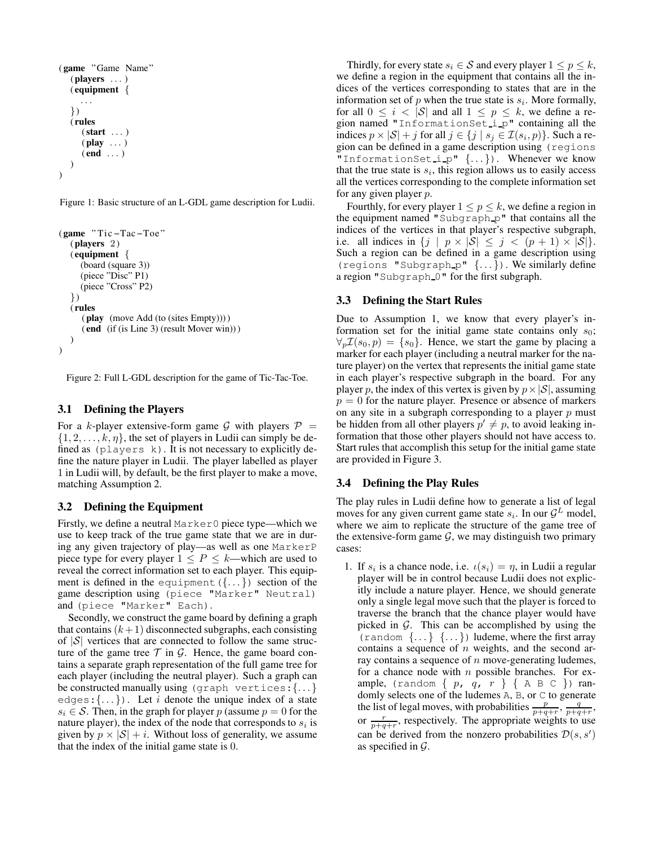```
( game "Game Name"
   (players ...)
   \{ equipment \{. . .
   })
   ( rules
      (\text{start} \dots)(\text{play } \dots)( end \ldots))
)
```
<span id="page-2-1"></span>Figure 1: Basic structure of an L-GDL game description for Ludii.

```
( game " Tic −Tac −Toe "
  (n layers 2)( equipment {
     (board (square 3))
     (piece "Disc" P1)
     (piece "Cross" P2)
  })
  ( rules
     (play (move Add (to (sites Empty))) )
     ( end (if (is Line 3) (result Mover win)) )
  )
)
```
Figure 2: Full L-GDL description for the game of Tic-Tac-Toe.

## <span id="page-2-2"></span>3.1 Defining the Players

For a k-player extensive-form game G with players  $P =$  $\{1, 2, \ldots, k, \eta\}$ , the set of players in Ludii can simply be defined as (players k). It is not necessary to explicitly define the nature player in Ludii. The player labelled as player 1 in Ludii will, by default, be the first player to make a move, matching Assumption [2.](#page-1-1)

## 3.2 Defining the Equipment

Firstly, we define a neutral Marker0 piece type—which we use to keep track of the true game state that we are in during any given trajectory of play—as well as one MarkerP piece type for every player  $1 \le P \le k$ —which are used to reveal the correct information set to each player. This equipment is defined in the equipment  $({\ldots})$  section of the game description using (piece "Marker" Neutral) and (piece "Marker" Each).

Secondly, we construct the game board by defining a graph that contains  $(k+1)$  disconnected subgraphs, each consisting of  $|S|$  vertices that are connected to follow the same structure of the game tree  $\mathcal T$  in  $\mathcal G$ . Hence, the game board contains a separate graph representation of the full game tree for each player (including the neutral player). Such a graph can be constructed manually using (graph vertices:{. . . } edges:  $\{\ldots\}$ ). Let i denote the unique index of a state  $s_i \in \mathcal{S}$ . Then, in the graph for player p (assume  $p = 0$  for the nature player), the index of the node that corresponds to  $s_i$  is given by  $p \times |\mathcal{S}| + i$ . Without loss of generality, we assume that the index of the initial game state is 0.

Thirdly, for every state  $s_i \in \mathcal{S}$  and every player  $1 \leq p \leq k$ , we define a region in the equipment that contains all the indices of the vertices corresponding to states that are in the information set of  $p$  when the true state is  $s_i$ . More formally, for all  $0 \leq i < |\mathcal{S}|$  and all  $1 \leq p \leq k$ , we define a region named "InformationSet i p" containing all the indices  $p \times |\mathcal{S}| + j$  for all  $j \in \{j \mid s_j \in \mathcal{I}(s_i, p)\}\)$ . Such a region can be defined in a game description using (regions "InformationSet i p" {. . . }). Whenever we know that the true state is  $s_i$ , this region allows us to easily access all the vertices corresponding to the complete information set for any given player p.

Fourthly, for every player  $1 \leq p \leq k$ , we define a region in the equipment named "Subgraph  $p$ " that contains all the indices of the vertices in that player's respective subgraph, i.e. all indices in  $\{j | p \times |\mathcal{S}| \le j < (p+1) \times |\mathcal{S}|\}.$ Such a region can be defined in a game description using (regions "Subgraph  $p$ "  $\{ \dots \}$ ). We similarly define a region "Subgraph 0" for the first subgraph.

## <span id="page-2-4"></span>3.3 Defining the Start Rules

Due to Assumption [1,](#page-1-2) we know that every player's information set for the initial game state contains only  $s_0$ ;  $\forall_p \mathcal{I}(s_0, p) = \{s_0\}$ . Hence, we start the game by placing a marker for each player (including a neutral marker for the nature player) on the vertex that represents the initial game state in each player's respective subgraph in the board. For any player p, the index of this vertex is given by  $p \times |S|$ , assuming  $p = 0$  for the nature player. Presence or absence of markers on any site in a subgraph corresponding to a player  $p$  must be hidden from all other players  $p' \neq p$ , to avoid leaking information that those other players should not have access to. Start rules that accomplish this setup for the initial game state are provided in Figure [3.](#page-3-1)

## <span id="page-2-3"></span>3.4 Defining the Play Rules

The play rules in Ludii define how to generate a list of legal moves for any given current game state  $s_i$ . In our  $\mathcal{G}^L$  model, where we aim to replicate the structure of the game tree of the extensive-form game  $G$ , we may distinguish two primary cases:

1. If  $s_i$  is a chance node, i.e.  $\iota(s_i) = \eta$ , in Ludii a regular player will be in control because Ludii does not explicitly include a nature player. Hence, we should generate only a single legal move such that the player is forced to traverse the branch that the chance player would have picked in  $G$ . This can be accomplished by using the (random  $\{ \ldots \}$   $\{ \ldots \}$ ) ludeme, where the first array contains a sequence of  $n$  weights, and the second array contains a sequence of  $n$  move-generating ludemes, for a chance node with  $n$  possible branches. For example, (random  $\{p, q, r\}$   $\{A B C\}$ ) randomly selects one of the ludemes A, B, or C to generate the list of legal moves, with probabilities  $\frac{p}{p+q+r}$ ,  $\frac{q}{p+q+r}$ , or  $\frac{r}{p+q+r}$ , respectively. The appropriate weights to use can be derived from the nonzero probabilities  $\mathcal{D}(s, s')$ as specified in  $\mathcal{G}$ .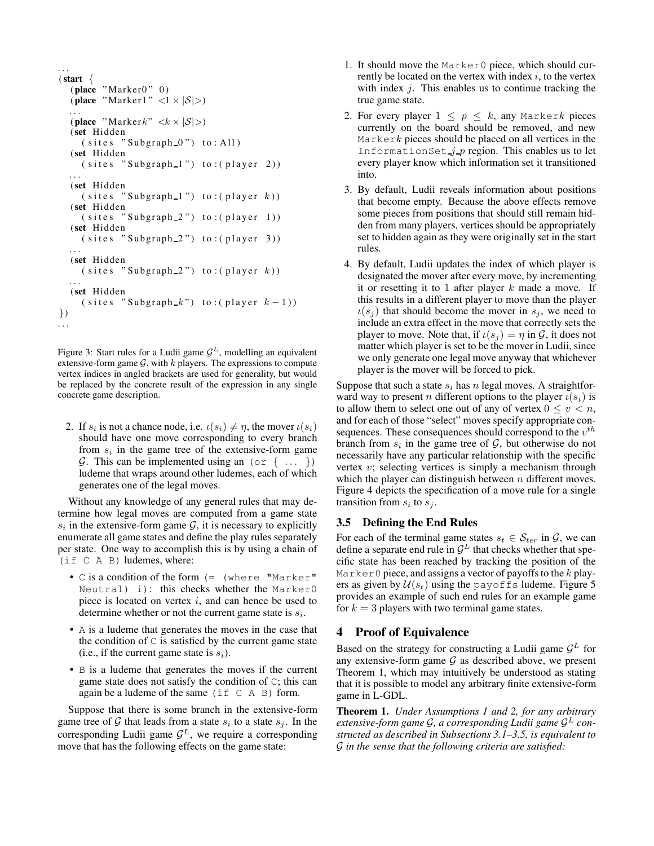```
. . .
(start {
  (place "Marker0" 0)
  (place "Marker1" \langle 1 \times |S| \rangle)
  . . .
  (place "Markerk" \langle k \times |\mathcal{S}| \rangle)
  (set Hidden
     (sites "Subgraph_0") to: All)(set Hidden
     (sites "Subgraph_1") to: (player 2)). . .
  (set Hidden
     (sites "Subgraph_1") to: (player k))(set Hidden
     (sites "Subgraph_2") to: (player 1))(set Hidden
     (sites "Subgraph_2") to: (player 3)). . .
  (set Hidden
     (sites "Subgraph_2") to: (player k)). . .
  (set Hidden
     ( sites "Subgraph k") to: ( player k-1 ))
})
. . .
```
Figure 3: Start rules for a Ludii game  $\mathcal{G}^L$ , modelling an equivalent extensive-form game  $G$ , with  $k$  players. The expressions to compute vertex indices in angled brackets are used for generality, but would be replaced by the concrete result of the expression in any single concrete game description.

2. If  $s_i$  is not a chance node, i.e.  $\iota(s_i) \neq \eta$ , the mover  $\iota(s_i)$ should have one move corresponding to every branch from  $s_i$  in the game tree of the extensive-form game G. This can be implemented using an (or  $\{ \ldots \}$ ) ludeme that wraps around other ludemes, each of which generates one of the legal moves.

Without any knowledge of any general rules that may determine how legal moves are computed from a game state  $s_i$  in the extensive-form game  $\mathcal{G}$ , it is necessary to explicitly enumerate all game states and define the play rules separately per state. One way to accomplish this is by using a chain of (if C A B) ludemes, where:

- C is a condition of the form (= (where "Marker" Neutral) i): this checks whether the Marker0 piece is located on vertex  $i$ , and can hence be used to determine whether or not the current game state is  $s_i$ .
- A is a ludeme that generates the moves in the case that the condition of  $\mathcal C$  is satisfied by the current game state (i.e., if the current game state is  $s_i$ ).
- B is a ludeme that generates the moves if the current game state does not satisfy the condition of C; this can again be a ludeme of the same  $(i \in C \land B)$  form.

Suppose that there is some branch in the extensive-form game tree of  $G$  that leads from a state  $s_i$  to a state  $s_j$ . In the corresponding Ludii game  $\mathcal{G}^L$ , we require a corresponding move that has the following effects on the game state:

- 1. It should move the Marker0 piece, which should currently be located on the vertex with index  $i$ , to the vertex with index  $j$ . This enables us to continue tracking the true game state.
- 2. For every player  $1 \leq p \leq k$ , any Markerk pieces currently on the board should be removed, and new  $Markerk$  pieces should be placed on all vertices in the InformationSet  $j$  p region. This enables us to let every player know which information set it transitioned into.
- 3. By default, Ludii reveals information about positions that become empty. Because the above effects remove some pieces from positions that should still remain hidden from many players, vertices should be appropriately set to hidden again as they were originally set in the start rules.
- 4. By default, Ludii updates the index of which player is designated the mover after every move, by incrementing it or resetting it to 1 after player  $k$  made a move. If this results in a different player to move than the player  $\iota(s_j)$  that should become the mover in  $s_j$ , we need to include an extra effect in the move that correctly sets the player to move. Note that, if  $\iota(s_i) = \eta$  in  $\mathcal{G}$ , it does not matter which player is set to be the mover in Ludii, since we only generate one legal move anyway that whichever player is the mover will be forced to pick.

Suppose that such a state  $s_i$  has n legal moves. A straightforward way to present *n* different options to the player  $\iota(s_i)$  is to allow them to select one out of any of vertex  $0 \le v \le n$ , and for each of those "select" moves specify appropriate consequences. These consequences should correspond to the  $v^{th}$ branch from  $s_i$  in the game tree of  $\mathcal{G}$ , but otherwise do not necessarily have any particular relationship with the specific vertex  $v$ ; selecting vertices is simply a mechanism through which the player can distinguish between  $n$  different moves. Figure [4](#page-4-0) depicts the specification of a move rule for a single transition from  $s_i$  to  $s_j$ .

#### <span id="page-3-3"></span>3.5 Defining the End Rules

For each of the terminal game states  $s_t \in S_{ter}$  in  $\mathcal{G}$ , we can define a separate end rule in  $\mathcal{G}^L$  that checks whether that specific state has been reached by tracking the position of the Marker0 piece, and assigns a vector of payoffs to the  $k$  players as given by  $U(s_t)$  using the payoffs ludeme. Figure [5](#page-4-1) provides an example of such end rules for an example game for  $k = 3$  players with two terminal game states.

## <span id="page-3-0"></span>4 Proof of Equivalence

Based on the strategy for constructing a Ludii game  $\mathcal{G}^L$  for any extensive-form game  $G$  as described above, we present Theorem [1,](#page-3-2) which may intuitively be understood as stating that it is possible to model any arbitrary finite extensive-form game in L-GDL.

<span id="page-3-2"></span>Theorem 1. *Under Assumptions [1](#page-1-2) and [2,](#page-1-1) for any arbitrary extensive-form game* G*, a corresponding Ludii game* G <sup>L</sup> *constructed as described in Subsections [3.1–](#page-2-2)[3.5,](#page-3-3) is equivalent to* G *in the sense that the following criteria are satisfied:*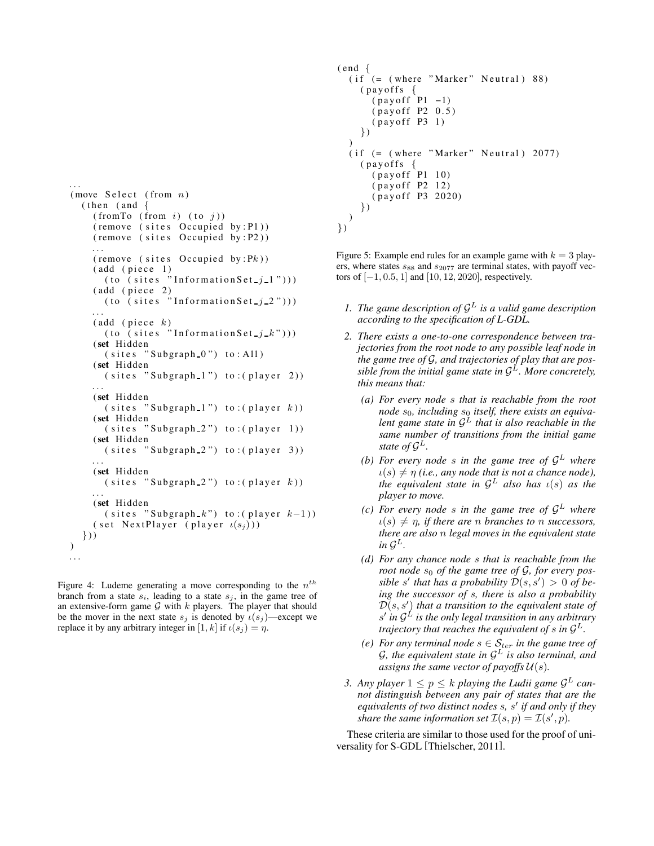```
. . .
(move \text{ Select (from } n)(then (and {
    (fromTo from i) (to j))( remove ( sites Occupied by : P1))
    ( remove ( sites Occupied by : P2))
     . . .
    ( remove  ( sites Occupied by : Pk ))
    (add (piece 1)(to (sites "Information Set<sub>-1</sub> 1")))
    (add (piece 2)(t_0 (sites "Information Set (i_2 2")))
     . . .
    (\text{add } ( \text{piece } k))(to (sites "InformationSet<sub>1</sub> k")))
    (set Hidden
       (sites "Subgraph_0") to: All)(set Hidden
       (sites "Subgraph_1") to: (player 2)). . .
    (set Hidden
       (sites "Subgraph_1") to: (player k))(set Hidden
       (sites "Subgraph 2") to: (player 1))(set Hidden
       (sites "Subgraph_2") to: (player 3)). . .
    (set Hidden
       (sites "Subgraph_2") to: (player k)). . .
    (set Hidden
       (sites "Subgraph_k") to : (player k-1))( set NextPlayer ( player \iota(s_j) ))
  \}))
. . .
```
Figure 4: Ludeme generating a move corresponding to the  $n^{th}$ branch from a state  $s_i$ , leading to a state  $s_j$ , in the game tree of an extensive-form game  $G$  with  $k$  players. The player that should be the mover in the next state  $s_j$  is denoted by  $\iota(s_j)$ —except we replace it by any arbitrary integer in [1, k] if  $\iota(s_i) = \eta$ .

```
( end \{(if (= (where "Market" Neural) 88)(pay of f s {
      (payoff P1 -1)
      (payoff P2 0.5)( pay of f P3 1)
    })
  )
  (if (= (where "Market" Neural) 2077)(payoffs \{(payoff P1 10)
      ( pay of f P2 12)
      (payoff P3 2020)
    })
 )
})
```
Figure 5: Example end rules for an example game with  $k = 3$  players, where states  $s_{88}$  and  $s_{2077}$  are terminal states, with payoff vectors of  $[-1, 0.5, 1]$  and  $[10, 12, 2020]$ , respectively.

- <span id="page-4-2"></span>1. The game description of  $\mathcal{G}^L$  is a valid game description *according to the specification of L-GDL.*
- <span id="page-4-5"></span><span id="page-4-4"></span><span id="page-4-3"></span>*2. There exists a one-to-one correspondence between trajectories from the root node to any possible leaf node in the game tree of* G*, and trajectories of play that are possible from the initial game state in* G <sup>L</sup>*. More concretely, this means that:*
	- *(a) For every node* s *that is reachable from the root* node  $s_0$ , including  $s_0$  itself, there exists an equiva*lent game state in* G <sup>L</sup> *that is also reachable in the same number of transitions from the initial game state of*  $\mathcal{G}^L$ .
	- (b) For every node  $s$  in the game tree of  $\mathcal{G}^L$  where  $u(s) \neq \eta$  *(i.e., any node that is not a chance node), the equivalent state in*  $\mathcal{G}^L$  *also has*  $\iota(s)$  *as the player to move.*
	- *(c) For every node* s *in the game tree of* G <sup>L</sup> *where*  $u(s) \neq \eta$ , if there are *n* branches to *n* successors, *there are also* n *legal moves in the equivalent state* in  $\mathcal{G}^L$ .
	- *(d) For any chance node* s *that is reachable from the root node*  $s_0$  *of the game tree of G, for every possible* s' that has a probability  $\mathcal{D}(s, s') > 0$  of be*ing the successor of* s*, there is also a probability* D(s, s′ ) *that a transition to the equivalent state of* s ′ *in* G <sup>L</sup> *is the only legal transition in any arbitrary trajectory that reaches the equivalent of s in*  $\mathcal{G}^L$ *.*
	- *(e)* For any terminal node  $s \in S_{ter}$  in the game tree of G*, the equivalent state in* G <sup>L</sup> *is also terminal, and assigns the same vector of payoffs*  $U(s)$ *.*
- <span id="page-4-8"></span><span id="page-4-7"></span><span id="page-4-6"></span>3. Any player  $1 \leq p \leq k$  playing the Ludii game  $\mathcal{G}^L$  can*not distinguish between any pair of states that are the equivalents of two distinct nodes* s*,* s ′ *if and only if they share the same information set*  $\mathcal{I}(s, p) = \mathcal{I}(s', p)$ *.*

These criteria are similar to those used for the proof of universality for S-GDL [\[Thielscher, 2011\]](#page-6-10).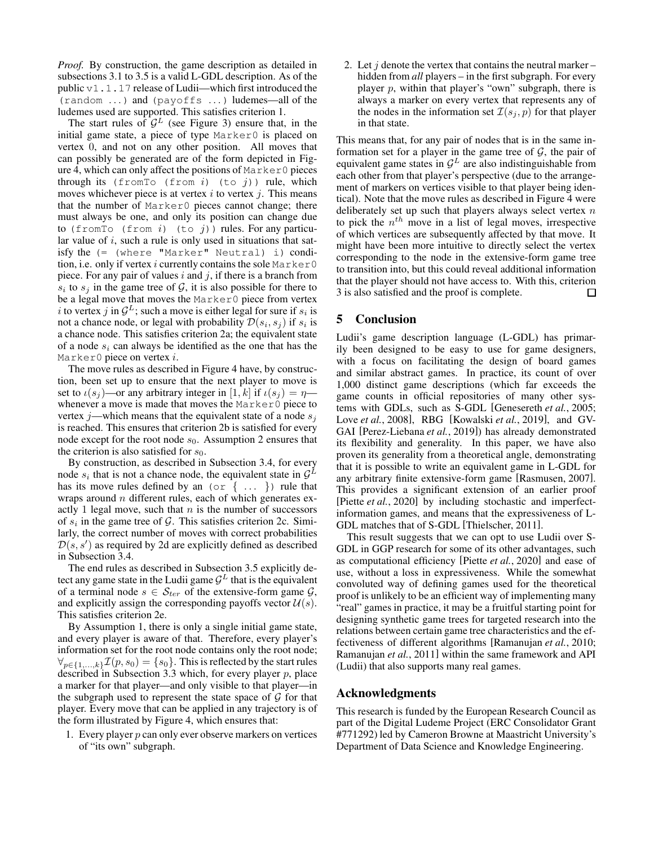*Proof.* By construction, the game description as detailed in subsections [3.1](#page-2-2) to [3.5](#page-3-3) is a valid L-GDL description. As of the public v1.1.17 release of Ludii—which first introduced the (random . . . ) and (payoffs . . . ) ludemes—all of the ludemes used are supported. This satisfies criterion [1.](#page-4-2)

The start rules of  $\mathcal{G}^L$  (see Figure [3\)](#page-3-1) ensure that, in the initial game state, a piece of type Marker0 is placed on vertex 0, and not on any other position. All moves that can possibly be generated are of the form depicted in Figure [4,](#page-4-0) which can only affect the positions of Marker0 pieces through its (from To (from  $i$ ) (to  $j$ )) rule, which moves whichever piece is at vertex  $i$  to vertex  $j$ . This means that the number of Marker0 pieces cannot change; there must always be one, and only its position can change due to (from To (from i) (to j)) rules. For any particular value of  $i$ , such a rule is only used in situations that satisfy the (= (where "Marker" Neutral) i) condition, i.e. only if vertex i currently contains the sole  $M$ arker $0$ piece. For any pair of values i and j, if there is a branch from  $s_i$  to  $s_j$  in the game tree of  $\mathcal{G}$ , it is also possible for there to be a legal move that moves the Marker0 piece from vertex i to vertex j in  $\mathcal{G}^L$ ; such a move is either legal for sure if  $s_i$  is not a chance node, or legal with probability  $\mathcal{D}(s_i, s_j)$  if  $s_i$  is a chance node. This satisfies criterion [2a;](#page-4-3) the equivalent state of a node  $s_i$  can always be identified as the one that has the Marker0 piece on vertex  $i$ .

The move rules as described in Figure [4](#page-4-0) have, by construction, been set up to ensure that the next player to move is set to  $\iota(s_i)$ —or any arbitrary integer in [1, k] if  $\iota(s_i) = \eta$  whenever a move is made that moves the Marker0 piece to vertex j—which means that the equivalent state of a node  $s_i$ is reached. This ensures that criterion [2b](#page-4-4) is satisfied for every node except for the root node  $s_0$ . Assumption [2](#page-1-1) ensures that the criterion is also satisfied for  $s_0$ .

By construction, as described in Subsection [3.4,](#page-2-3) for every node  $s_i$  that is not a chance node, the equivalent state in  $\mathcal{G}^L$ has its move rules defined by an  $(\circ \circ \{\dots\})$  rule that wraps around  $n$  different rules, each of which generates exactly 1 legal move, such that  $n$  is the number of successors of  $s_i$  in the game tree of  $\mathcal G$ . This satisfies criterion [2c.](#page-4-5) Similarly, the correct number of moves with correct probabilities  $\mathcal{D}(s, s')$  as required by [2d](#page-4-6) are explicitly defined as described in Subsection [3.4.](#page-2-3)

The end rules as described in Subsection [3.5](#page-3-3) explicitly detect any game state in the Ludii game  $\mathcal{G}^L$  that is the equivalent of a terminal node  $s \in S_{ter}$  of the extensive-form game  $\mathcal{G}$ , and explicitly assign the corresponding payoffs vector  $\mathcal{U}(s)$ . This satisfies criterion [2e.](#page-4-7)

By Assumption [1,](#page-1-2) there is only a single initial game state, and every player is aware of that. Therefore, every player's information set for the root node contains only the root node;  $\forall_{p \in \{1,...,k\}} \mathcal{I}(p, s_0) = \{s_0\}.$  This is reflected by the start rules described in Subsection [3.3](#page-2-4) which, for every player  $p$ , place a marker for that player—and only visible to that player—in the subgraph used to represent the state space of  $\mathcal G$  for that player. Every move that can be applied in any trajectory is of the form illustrated by Figure [4,](#page-4-0) which ensures that:

1. Every player  $p$  can only ever observe markers on vertices of "its own" subgraph.

2. Let  $j$  denote the vertex that contains the neutral marker – hidden from *all* players – in the first subgraph. For every player  $p$ , within that player's "own" subgraph, there is always a marker on every vertex that represents any of the nodes in the information set  $\mathcal{I}(s_i, p)$  for that player in that state.

This means that, for any pair of nodes that is in the same information set for a player in the game tree of  $G$ , the pair of equivalent game states in  $\mathcal{G}^L$  are also indistinguishable from each other from that player's perspective (due to the arrangement of markers on vertices visible to that player being identical). Note that the move rules as described in Figure [4](#page-4-0) were deliberately set up such that players always select vertex  $n$ to pick the  $n^{th}$  move in a list of legal moves, irrespective of which vertices are subsequently affected by that move. It might have been more intuitive to directly select the vertex corresponding to the node in the extensive-form game tree to transition into, but this could reveal additional information that the player should not have access to. With this, criterion [3](#page-4-8) is also satisfied and the proof is complete. □

## 5 Conclusion

Ludii's game description language (L-GDL) has primarily been designed to be easy to use for game designers, with a focus on facilitating the design of board games and similar abstract games. In practice, its count of over 1,000 distinct game descriptions (which far exceeds the game counts in official repositories of many other systems with GDLs, such as S-GDL [\[Genesereth](#page-6-1) *et al.*, 2005; Love *et al.*[, 2008\]](#page-6-2), RBG [\[Kowalski](#page-6-3) *et al.*, 2019], and GV-GAI [\[Perez-Liebana](#page-6-7) *et al.*, 2019]) has already demonstrated its flexibility and generality. In this paper, we have also proven its generality from a theoretical angle, demonstrating that it is possible to write an equivalent game in L-GDL for any arbitrary finite extensive-form game [\[Rasmusen, 2007\]](#page-6-11). This provides a significant extension of an earlier proof [Piette *et al.*[, 2020\]](#page-6-5) by including stochastic and imperfectinformation games, and means that the expressiveness of L-GDL matches that of S-GDL [\[Thielscher, 2011\]](#page-6-10).

This result suggests that we can opt to use Ludii over S-GDL in GGP research for some of its other advantages, such as computational efficiency [Piette *et al.*[, 2020\]](#page-6-5) and ease of use, without a loss in expressiveness. While the somewhat convoluted way of defining games used for the theoretical proof is unlikely to be an efficient way of implementing many "real" games in practice, it may be a fruitful starting point for designing synthetic game trees for targeted research into the relations between certain game tree characteristics and the effectiveness of different algorithms [\[Ramanujan](#page-6-15) *et al.*, 2010; [Ramanujan](#page-6-16) *et al.*, 2011] within the same framework and API (Ludii) that also supports many real games.

### Acknowledgments

This research is funded by the European Research Council as part of the Digital Ludeme Project (ERC Consolidator Grant #771292) led by Cameron Browne at Maastricht University's Department of Data Science and Knowledge Engineering.